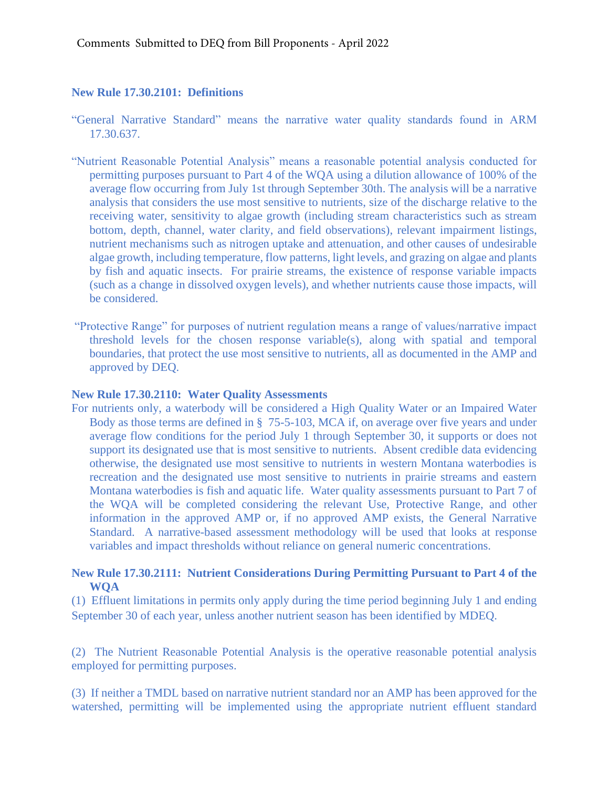## **New Rule 17.30.2101: Definitions**

- "General Narrative Standard" means the narrative water quality standards found in ARM 17.30.637.
- "Nutrient Reasonable Potential Analysis" means a reasonable potential analysis conducted for permitting purposes pursuant to Part 4 of the WQA using a dilution allowance of 100% of the average flow occurring from July 1st through September 30th. The analysis will be a narrative analysis that considers the use most sensitive to nutrients, size of the discharge relative to the receiving water, sensitivity to algae growth (including stream characteristics such as stream bottom, depth, channel, water clarity, and field observations), relevant impairment listings, nutrient mechanisms such as nitrogen uptake and attenuation, and other causes of undesirable algae growth, including temperature, flow patterns, light levels, and grazing on algae and plants by fish and aquatic insects. For prairie streams, the existence of response variable impacts (such as a change in dissolved oxygen levels), and whether nutrients cause those impacts, will be considered.
- "Protective Range" for purposes of nutrient regulation means a range of values/narrative impact threshold levels for the chosen response variable(s), along with spatial and temporal boundaries, that protect the use most sensitive to nutrients, all as documented in the AMP and approved by DEQ.

## **New Rule 17.30.2110: Water Quality Assessments**

For nutrients only, a waterbody will be considered a High Quality Water or an Impaired Water Body as those terms are defined in § 75-5-103, MCA if, on average over five years and under average flow conditions for the period July 1 through September 30, it supports or does not support its designated use that is most sensitive to nutrients. Absent credible data evidencing otherwise, the designated use most sensitive to nutrients in western Montana waterbodies is recreation and the designated use most sensitive to nutrients in prairie streams and eastern Montana waterbodies is fish and aquatic life. Water quality assessments pursuant to Part 7 of the WQA will be completed considering the relevant Use, Protective Range, and other information in the approved AMP or, if no approved AMP exists, the General Narrative Standard. A narrative-based assessment methodology will be used that looks at response variables and impact thresholds without reliance on general numeric concentrations.

## **New Rule 17.30.2111: Nutrient Considerations During Permitting Pursuant to Part 4 of the WQA**

(1) Effluent limitations in permits only apply during the time period beginning July 1 and ending September 30 of each year, unless another nutrient season has been identified by MDEQ.

(2) The Nutrient Reasonable Potential Analysis is the operative reasonable potential analysis employed for permitting purposes.

(3) If neither a TMDL based on narrative nutrient standard nor an AMP has been approved for the watershed, permitting will be implemented using the appropriate nutrient effluent standard